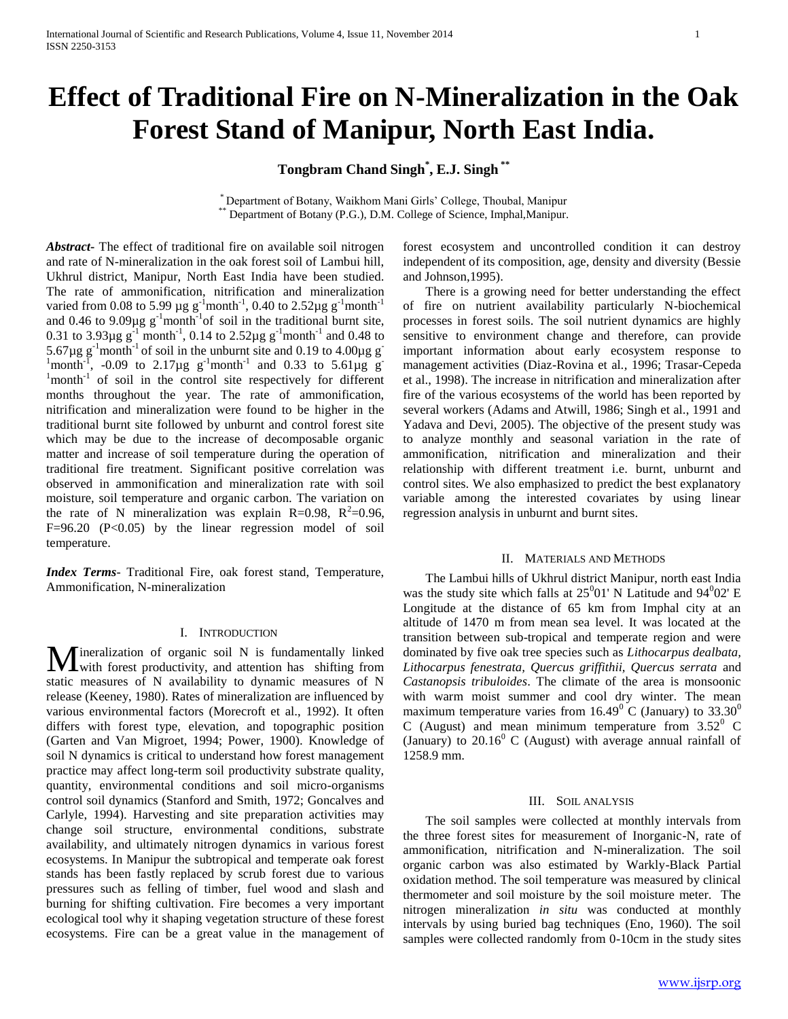# **Effect of Traditional Fire on N-Mineralization in the Oak Forest Stand of Manipur, North East India.**

**Tongbram Chand Singh\* , E.J. Singh \*\***

\* Department of Botany, Waikhom Mani Girls' College, Thoubal, Manipur \*\* Department of Botany (P.G.), D.M. College of Science, Imphal,Manipur.

*Abstract***-** The effect of traditional fire on available soil nitrogen and rate of N-mineralization in the oak forest soil of Lambui hill, Ukhrul district, Manipur, North East India have been studied. The rate of ammonification, nitrification and mineralization varied from 0.08 to 5.99 µg  $g^{-1}$ month<sup>-1</sup>, 0.40 to 2.52µg  $g^{-1}$ month<sup>-1</sup> and 0.46 to 9.09 $\mu$ g g<sup>-1</sup>month<sup>-1</sup> of soil in the traditional burnt site, 0.31 to 3.93 $\mu$ g g<sup>-1</sup> month<sup>-1</sup>, 0.14 to 2.52 $\mu$ g g<sup>-1</sup> month<sup>-1</sup> and 0.48 to 5.67 $\mu$ g g<sup>-1</sup>month<sup>-1</sup> of soil in the unburnt site and 0.19 to 4.00 $\mu$ g g<sup>-</sup>  $\frac{1}{2}$ month<sup>-1</sup>, -0.09 to 2.17µg g<sup>-1</sup>month<sup>-1</sup> and 0.33 to 5.61µg g<sup>-1</sup> <sup>1</sup>month<sup>-1</sup> of soil in the control site respectively for different months throughout the year. The rate of ammonification, nitrification and mineralization were found to be higher in the traditional burnt site followed by unburnt and control forest site which may be due to the increase of decomposable organic matter and increase of soil temperature during the operation of traditional fire treatment. Significant positive correlation was observed in ammonification and mineralization rate with soil moisture, soil temperature and organic carbon. The variation on the rate of N mineralization was explain R=0.98,  $R^2$ =0.96,  $F=96.20$   $(P<0.05)$  by the linear regression model of soil temperature.

*Index Terms*- Traditional Fire, oak forest stand, Temperature, Ammonification, N-mineralization

#### I. INTRODUCTION

ineralization of organic soil N is fundamentally linked **M** ineralization of organic soil N is fundamentally linked with forest productivity, and attention has shifting from static measures of N availability to dynamic measures of N release (Keeney, 1980). Rates of mineralization are influenced by various environmental factors (Morecroft et al., 1992). It often differs with forest type, elevation, and topographic position (Garten and Van Migroet, 1994; Power, 1900). Knowledge of soil N dynamics is critical to understand how forest management practice may affect long-term soil productivity substrate quality, quantity, environmental conditions and soil micro-organisms control soil dynamics (Stanford and Smith, 1972; Goncalves and Carlyle, 1994). Harvesting and site preparation activities may change soil structure, environmental conditions, substrate availability, and ultimately nitrogen dynamics in various forest ecosystems. In Manipur the subtropical and temperate oak forest stands has been fastly replaced by scrub forest due to various pressures such as felling of timber, fuel wood and slash and burning for shifting cultivation. Fire becomes a very important ecological tool why it shaping vegetation structure of these forest ecosystems. Fire can be a great value in the management of

forest ecosystem and uncontrolled condition it can destroy independent of its composition, age, density and diversity (Bessie and Johnson,1995).

 There is a growing need for better understanding the effect of fire on nutrient availability particularly N-biochemical processes in forest soils. The soil nutrient dynamics are highly sensitive to environment change and therefore, can provide important information about early ecosystem response to management activities (Diaz-Rovina et al*.,* 1996; Trasar-Cepeda et al., 1998). The increase in nitrification and mineralization after fire of the various ecosystems of the world has been reported by several workers (Adams and Atwill, 1986; Singh et al., 1991 and Yadava and Devi, 2005). The objective of the present study was to analyze monthly and seasonal variation in the rate of ammonification, nitrification and mineralization and their relationship with different treatment i.e. burnt, unburnt and control sites. We also emphasized to predict the best explanatory variable among the interested covariates by using linear regression analysis in unburnt and burnt sites.

#### II. MATERIALS AND METHODS

 The Lambui hills of Ukhrul district Manipur, north east India was the study site which falls at  $25^001'$  N Latitude and  $94^002'$  E Longitude at the distance of 65 km from Imphal city at an altitude of 1470 m from mean sea level. It was located at the transition between sub-tropical and temperate region and were dominated by five oak tree species such as *Lithocarpus dealbata, Lithocarpus fenestrata, Quercus griffithii, Quercus serrata* and *Castanopsis tribuloides*. The climate of the area is monsoonic with warm moist summer and cool dry winter. The mean maximum temperature varies from  $16.49^{\circ}$  C (January) to  $33.30^{\circ}$ C (August) and mean minimum temperature from  $3.52^{\circ}$  C (January) to  $20.16^{\circ}$  C (August) with average annual rainfall of 1258.9 mm.

### III. SOIL ANALYSIS

 The soil samples were collected at monthly intervals from the three forest sites for measurement of Inorganic-N, rate of ammonification, nitrification and N-mineralization. The soil organic carbon was also estimated by Warkly-Black Partial oxidation method. The soil temperature was measured by clinical thermometer and soil moisture by the soil moisture meter. The nitrogen mineralization *in situ* was conducted at monthly intervals by using buried bag techniques (Eno, 1960). The soil samples were collected randomly from 0-10cm in the study sites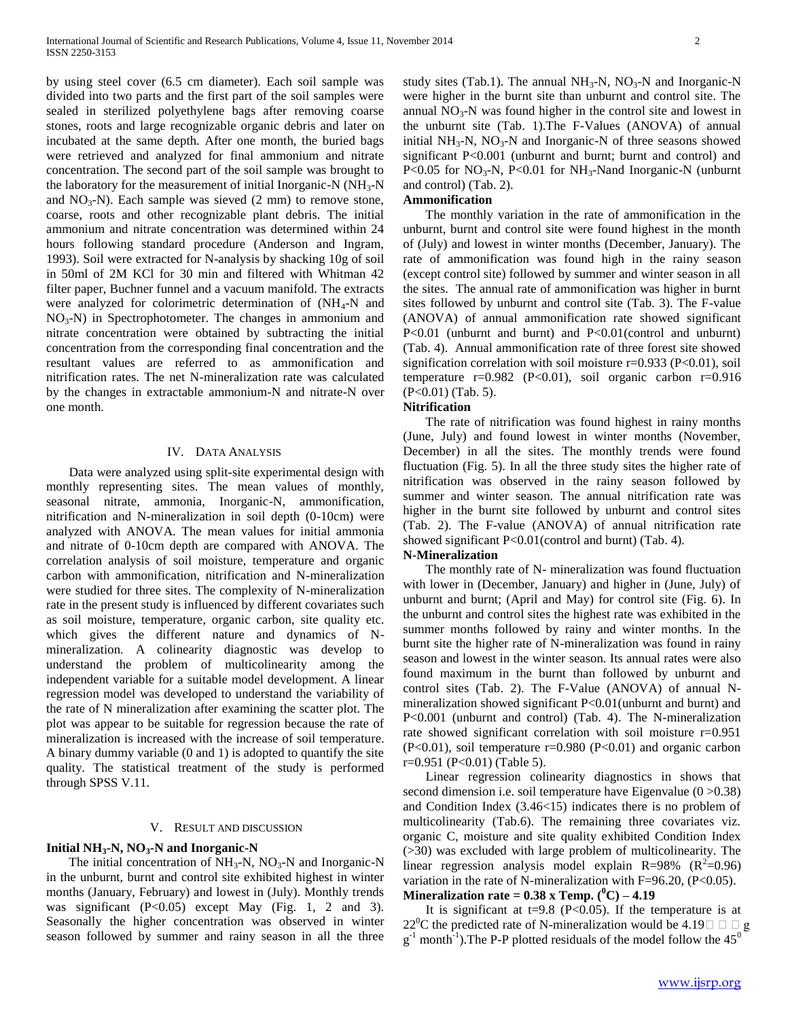by using steel cover (6.5 cm diameter). Each soil sample was divided into two parts and the first part of the soil samples were sealed in sterilized polyethylene bags after removing coarse stones, roots and large recognizable organic debris and later on incubated at the same depth. After one month, the buried bags were retrieved and analyzed for final ammonium and nitrate concentration. The second part of the soil sample was brought to the laboratory for the measurement of initial Inorganic-N  $(NH_3-N)$ and  $NO_3-N$ ). Each sample was sieved (2 mm) to remove stone, coarse, roots and other recognizable plant debris. The initial ammonium and nitrate concentration was determined within 24 hours following standard procedure (Anderson and Ingram, 1993). Soil were extracted for N-analysis by shacking 10g of soil in 50ml of 2M KCl for 30 min and filtered with Whitman 42 filter paper, Buchner funnel and a vacuum manifold. The extracts were analyzed for colorimetric determination of  $(NH_4-N$  and  $NO<sub>3</sub>-N$ ) in Spectrophotometer. The changes in ammonium and nitrate concentration were obtained by subtracting the initial concentration from the corresponding final concentration and the resultant values are referred to as ammonification and nitrification rates. The net N-mineralization rate was calculated by the changes in extractable ammonium-N and nitrate-N over one month.

# IV. DATA ANALYSIS

 Data were analyzed using split-site experimental design with monthly representing sites. The mean values of monthly, seasonal nitrate, ammonia, Inorganic-N, ammonification, nitrification and N-mineralization in soil depth (0-10cm) were analyzed with ANOVA. The mean values for initial ammonia and nitrate of 0-10cm depth are compared with ANOVA. The correlation analysis of soil moisture, temperature and organic carbon with ammonification, nitrification and N-mineralization were studied for three sites. The complexity of N-mineralization rate in the present study is influenced by different covariates such as soil moisture, temperature, organic carbon, site quality etc. which gives the different nature and dynamics of Nmineralization. A colinearity diagnostic was develop to understand the problem of multicolinearity among the independent variable for a suitable model development. A linear regression model was developed to understand the variability of the rate of N mineralization after examining the scatter plot. The plot was appear to be suitable for regression because the rate of mineralization is increased with the increase of soil temperature. A binary dummy variable (0 and 1) is adopted to quantify the site quality. The statistical treatment of the study is performed through SPSS V.11.

#### V. RESULT AND DISCUSSION

# **Initial NH3-N, NO3-N and Inorganic-N**

The initial concentration of  $NH<sub>3</sub>-N$ ,  $NO<sub>3</sub>-N$  and Inorganic-N in the unburnt, burnt and control site exhibited highest in winter months (January, February) and lowest in (July). Monthly trends was significant (P<0.05) except May (Fig. 1, 2 and 3). Seasonally the higher concentration was observed in winter season followed by summer and rainy season in all the three

## and control) (Tab. 2). **Ammonification**

 The monthly variation in the rate of ammonification in the unburnt, burnt and control site were found highest in the month of (July) and lowest in winter months (December, January). The rate of ammonification was found high in the rainy season (except control site) followed by summer and winter season in all the sites. The annual rate of ammonification was higher in burnt sites followed by unburnt and control site (Tab. 3). The F-value (ANOVA) of annual ammonification rate showed significant P<0.01 (unburnt and burnt) and P<0.01(control and unburnt) (Tab. 4). Annual ammonification rate of three forest site showed signification correlation with soil moisture  $r=0.933$  (P<0.01), soil temperature  $r=0.982$  (P<0.01), soil organic carbon  $r=0.916$ (P<0.01) (Tab. 5).

P<0.05 for  $NO<sub>3</sub>$ -N, P<0.01 for  $NH<sub>3</sub>$ -Nand Inorganic-N (unburnt

#### **Nitrification**

 The rate of nitrification was found highest in rainy months (June, July) and found lowest in winter months (November, December) in all the sites. The monthly trends were found fluctuation (Fig. 5). In all the three study sites the higher rate of nitrification was observed in the rainy season followed by summer and winter season. The annual nitrification rate was higher in the burnt site followed by unburnt and control sites (Tab. 2). The F-value (ANOVA) of annual nitrification rate showed significant P<0.01(control and burnt) (Tab. 4).

# **N-Mineralization**

 The monthly rate of N- mineralization was found fluctuation with lower in (December, January) and higher in (June, July) of unburnt and burnt; (April and May) for control site (Fig. 6). In the unburnt and control sites the highest rate was exhibited in the summer months followed by rainy and winter months. In the burnt site the higher rate of N-mineralization was found in rainy season and lowest in the winter season. Its annual rates were also found maximum in the burnt than followed by unburnt and control sites (Tab. 2). The F-Value (ANOVA) of annual Nmineralization showed significant P<0.01(unburnt and burnt) and P<0.001 (unburnt and control) (Tab. 4). The N-mineralization rate showed significant correlation with soil moisture r=0.951  $(P<0.01)$ , soil temperature r=0.980  $(P<0.01)$  and organic carbon r=0.951 (P<0.01) (Table 5).

 Linear regression colinearity diagnostics in shows that second dimension i.e. soil temperature have Eigenvalue (0 > 0.38) and Condition Index (3.46<15) indicates there is no problem of multicolinearity (Tab.6). The remaining three covariates viz. organic C, moisture and site quality exhibited Condition Index (>30) was excluded with large problem of multicolinearity. The linear regression analysis model explain  $R=98\%$  ( $R^2=0.96$ ) variation in the rate of N-mineralization with  $F=96.20$ ,  $(P<0.05)$ . **Mineralization rate =**  $0.38$  **x Temp.**  $(^{0}C) - 4.19$ 

It is significant at  $t=9.8$  (P<0.05). If the temperature is at 22<sup>o</sup>C the predicted rate of N-mineralization would be 4.19 $\Box$   $\Box$  g  $g^{-1}$  month<sup>-1</sup>). The P-P plotted residuals of the model follow the 45<sup>0</sup>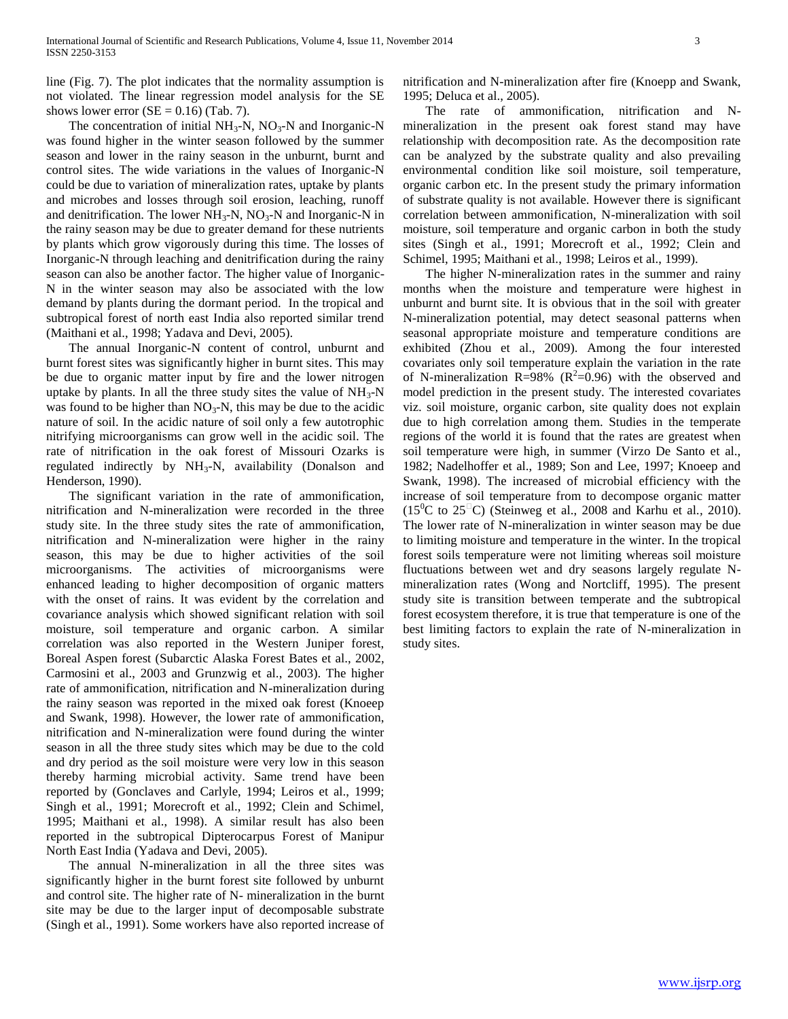line (Fig. 7). The plot indicates that the normality assumption is not violated. The linear regression model analysis for the SE shows lower error  $(SE = 0.16)$  (Tab. 7).

The concentration of initial  $NH_3-N$ ,  $NO_3-N$  and Inorganic-N was found higher in the winter season followed by the summer season and lower in the rainy season in the unburnt, burnt and control sites. The wide variations in the values of Inorganic-N could be due to variation of mineralization rates, uptake by plants and microbes and losses through soil erosion, leaching, runoff and denitrification. The lower  $NH_3-N$ ,  $NO_3-N$  and Inorganic-N in the rainy season may be due to greater demand for these nutrients by plants which grow vigorously during this time. The losses of Inorganic-N through leaching and denitrification during the rainy season can also be another factor. The higher value of Inorganic-N in the winter season may also be associated with the low demand by plants during the dormant period. In the tropical and subtropical forest of north east India also reported similar trend (Maithani et al., 1998; Yadava and Devi, 2005).

 The annual Inorganic-N content of control, unburnt and burnt forest sites was significantly higher in burnt sites. This may be due to organic matter input by fire and the lower nitrogen uptake by plants. In all the three study sites the value of  $NH<sub>3</sub>-N$ was found to be higher than  $NO_3-N$ , this may be due to the acidic nature of soil. In the acidic nature of soil only a few autotrophic nitrifying microorganisms can grow well in the acidic soil. The rate of nitrification in the oak forest of Missouri Ozarks is regulated indirectly by NH<sub>3</sub>-N, availability (Donalson and Henderson, 1990).

 The significant variation in the rate of ammonification, nitrification and N-mineralization were recorded in the three study site. In the three study sites the rate of ammonification, nitrification and N-mineralization were higher in the rainy season, this may be due to higher activities of the soil microorganisms. The activities of microorganisms were enhanced leading to higher decomposition of organic matters with the onset of rains. It was evident by the correlation and covariance analysis which showed significant relation with soil moisture, soil temperature and organic carbon. A similar correlation was also reported in the Western Juniper forest, Boreal Aspen forest (Subarctic Alaska Forest Bates et al., 2002, Carmosini et al., 2003 and Grunzwig et al., 2003). The higher rate of ammonification, nitrification and N-mineralization during the rainy season was reported in the mixed oak forest (Knoeep and Swank, 1998). However, the lower rate of ammonification, nitrification and N-mineralization were found during the winter season in all the three study sites which may be due to the cold and dry period as the soil moisture were very low in this season thereby harming microbial activity. Same trend have been reported by (Gonclaves and Carlyle, 1994; Leiros et al., 1999; Singh et al., 1991; Morecroft et al., 1992; Clein and Schimel, 1995; Maithani et al., 1998). A similar result has also been reported in the subtropical Dipterocarpus Forest of Manipur North East India (Yadava and Devi, 2005).

 The annual N-mineralization in all the three sites was significantly higher in the burnt forest site followed by unburnt and control site. The higher rate of N- mineralization in the burnt site may be due to the larger input of decomposable substrate (Singh et al., 1991). Some workers have also reported increase of nitrification and N-mineralization after fire (Knoepp and Swank, 1995; Deluca et al., 2005).

 The rate of ammonification, nitrification and Nmineralization in the present oak forest stand may have relationship with decomposition rate. As the decomposition rate can be analyzed by the substrate quality and also prevailing environmental condition like soil moisture, soil temperature, organic carbon etc. In the present study the primary information of substrate quality is not available. However there is significant correlation between ammonification, N-mineralization with soil moisture, soil temperature and organic carbon in both the study sites (Singh et al., 1991; Morecroft et al., 1992; Clein and Schimel, 1995; Maithani et al., 1998; Leiros et al., 1999).

 The higher N-mineralization rates in the summer and rainy months when the moisture and temperature were highest in unburnt and burnt site. It is obvious that in the soil with greater N-mineralization potential, may detect seasonal patterns when seasonal appropriate moisture and temperature conditions are exhibited (Zhou et al., 2009). Among the four interested covariates only soil temperature explain the variation in the rate of N-mineralization R=98% ( $R^2$ =0.96) with the observed and model prediction in the present study. The interested covariates viz. soil moisture, organic carbon, site quality does not explain due to high correlation among them. Studies in the temperate regions of the world it is found that the rates are greatest when soil temperature were high, in summer (Virzo De Santo et al., 1982; Nadelhoffer et al., 1989; Son and Lee, 1997; Knoeep and Swank, 1998). The increased of microbial efficiency with the increase of soil temperature from to decompose organic matter  $(15^0C$  to  $25^{\circ}C)$  (Steinweg et al., 2008 and Karhu et al., 2010). The lower rate of N-mineralization in winter season may be due to limiting moisture and temperature in the winter. In the tropical forest soils temperature were not limiting whereas soil moisture fluctuations between wet and dry seasons largely regulate Nmineralization rates (Wong and Nortcliff, 1995). The present study site is transition between temperate and the subtropical forest ecosystem therefore, it is true that temperature is one of the best limiting factors to explain the rate of N-mineralization in study sites.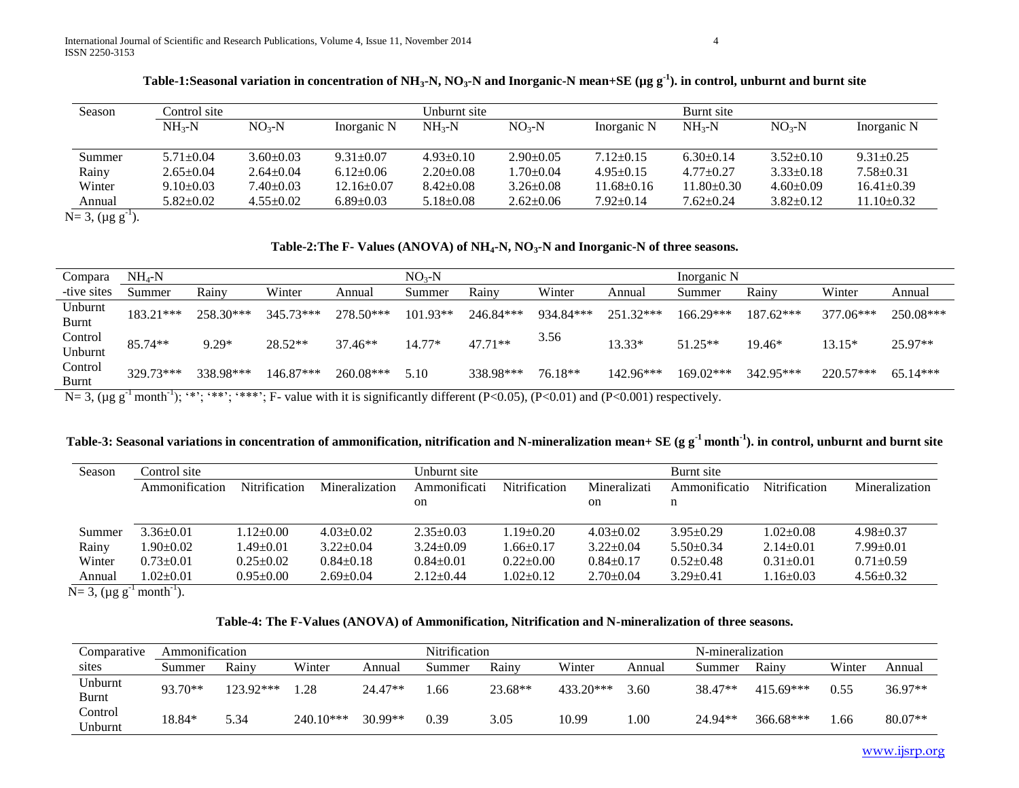| Season | Control site    |                 |                 | Unburnt site    |                 |                  | Burnt site       |                 |                  |
|--------|-----------------|-----------------|-----------------|-----------------|-----------------|------------------|------------------|-----------------|------------------|
|        | $NH_{3}-N$      | $NO3-N$         | Inorganic N     | $NH_{2}-N$      | $NO3-N$         | Inorganic N      | $NH_{2}-N$       | $NO3-N$         | Inorganic N      |
|        |                 |                 |                 |                 |                 |                  |                  |                 |                  |
| Summer | $5.71 \pm 0.04$ | $3.60 \pm 0.03$ | $9.31 \pm 0.07$ | $4.93 \pm 0.10$ | $2.90 \pm 0.05$ | $7.12 \pm 0.15$  | $6.30\pm0.14$    | $3.52 \pm 0.10$ | $9.31 \pm 0.25$  |
| Rainy  | $2.65 \pm 0.04$ | $2.64 \pm 0.04$ | $6.12 \pm 0.06$ | $2.20 \pm 0.08$ | $1.70 \pm 0.04$ | $4.95 \pm 0.15$  | $4.77+0.27$      | $3.33 \pm 0.18$ | $7.58 \pm 0.31$  |
| Winter | $9.10 \pm 0.03$ | $7.40 \pm 0.03$ | $12.16\pm0.07$  | $8.42 \pm 0.08$ | $3.26 \pm 0.08$ | $11.68 \pm 0.16$ | $11.80 \pm 0.30$ | $4.60 \pm 0.09$ | $16.41 \pm 0.39$ |
| Annual | $5.82 \pm 0.02$ | $4.55 \pm 0.02$ | $6.89 \pm 0.03$ | $5.18 \pm 0.08$ | $2.62 \pm 0.06$ | $7.92 \pm 0.14$  | $7.62 \pm 0.24$  | $3.82 \pm 0.12$ | $11.10 \pm 0.32$ |

**Table-1:Seasonal variation in concentration of NH3-N, NO3-N and Inorganic-N mean+SE (µg g-1 ). in control, unburnt and burnt site**

 $N= 3, (\mu g g^{-1}).$ 

# **Table-2:The F- Values (ANOVA) of NH4-N, NO3-N and Inorganic-N of three seasons.**

| Compara            | $NH_4-N$  |           |           |           | $NO3-N$    |           |           |           | Inorganic N |             |           |            |
|--------------------|-----------|-----------|-----------|-----------|------------|-----------|-----------|-----------|-------------|-------------|-----------|------------|
| -tive sites        | Summer    | Rainy     | Winter    | Annual    | Summer     | Rainv     | Winter    | Annual    | Summer      | Rainy       | Winter    | Annual     |
| Unburnt<br>Burnt   | 183.21*** | 258.30*** | 345.73*** | 278.50*** | $101.93**$ | 246.84*** | 934.84*** | 251.32*** | 166.29***   | $187.62***$ | 377.06*** | 250.08***  |
| Control<br>Unburnt | 85.74**   | $9.29*$   | $28.52**$ | 37.46**   | 14.77*     | $47.71**$ | 3.56      | 13.33*    | $51.25**$   | $19.46*$    | $13.15*$  | 25.97**    |
| Control<br>Burnt   | 329.73*** | 338.98*** | 146.87*** | 260.08*** | 5.10       | 338.98*** | 76.18**   | 142.96*** | 169.02***   | 342.95***   | 220.57*** | $65.14***$ |

N= 3, ( $\mu$ g g<sup>-1</sup> month<sup>-1</sup>); '\*'; '\*\*'; '\*\*\*'; F- value with it is significantly different (P<0.05), (P<0.01) and (P<0.001) respectively.

|  |  | Table-3: Seasonal variations in concentration of ammonification, nitrification and N-mineralization mean+ SE (g $g^{-1}$ month <sup>-1</sup> ). in control, unburnt and burnt site |
|--|--|------------------------------------------------------------------------------------------------------------------------------------------------------------------------------------|
|--|--|------------------------------------------------------------------------------------------------------------------------------------------------------------------------------------|

| Season | Control site    |                 |                 | Unburnt site    |                |                 | Burnt site      |                      |                 |
|--------|-----------------|-----------------|-----------------|-----------------|----------------|-----------------|-----------------|----------------------|-----------------|
|        | Ammonification  | Nitrification   | Mineralization  | Ammonificati    | Nitrification  | Mineralizati    | Ammonificatio   | <b>Nitrification</b> | Mineralization  |
|        |                 |                 |                 | on              |                | <sub>on</sub>   | n               |                      |                 |
|        |                 |                 |                 |                 |                |                 |                 |                      |                 |
| Summer | $3.36 \pm 0.01$ | $1.12 \pm 0.00$ | $4.03 \pm 0.02$ | $2.35 \pm 0.03$ | $.19\pm0.20$   | $4.03 \pm 0.02$ | $3.95 \pm 0.29$ | $1.02 \pm 0.08$      | $4.98 + 0.37$   |
| Rainy  | .90 $\pm$ 0.02  | $.49 \pm 0.01$  | $3.22 \pm 0.04$ | $3.24 \pm 0.09$ | $.66 \pm 0.17$ | $3.22 \pm 0.04$ | $5.50 \pm 0.34$ | $2.14 \pm 0.01$      | $7.99 \pm 0.01$ |
| Winter | $0.73 \pm 0.01$ | $0.25 \pm 0.02$ | $0.84 \pm 0.18$ | $0.84 \pm 0.01$ | $0.22+0.00$    | $0.84 \pm 0.17$ | $0.52+0.48$     | $0.31 \pm 0.01$      | $0.71 + 0.59$   |
| Annual | $.02+0.01$      | $0.95 \pm 0.00$ | $2.69 \pm 0.04$ | $2.12 \pm 0.44$ | $.02+0.12$     | $2.70 \pm 0.04$ | $3.29 \pm 0.41$ | $1.16 \pm 0.03$      | $4.56 \pm 0.32$ |

 $N= 3$ , (µg g<sup>-1</sup> month<sup>-1</sup>).

# **Table-4: The F-Values (ANOVA) of Ammonification, Nitrification and N-mineralization of three seasons.**

| Comparative        | Ammonification |           |             |           | Nitrification |         |           |        | N-mineralization |             |        |           |
|--------------------|----------------|-----------|-------------|-----------|---------------|---------|-----------|--------|------------------|-------------|--------|-----------|
| sites              | Summer         | Rainy     | Winter      | Annual    | Summer        | Rainv   | Winter    | Annual | Summer           | Rainy       | Winter | Annual    |
| Unburnt<br>Burnt   | 93.70**        | 123.92*** | .28         | $24.47**$ | . . 66        | 23.68** | 433.20*** | 3.60   | 38.47**          | $415.69***$ | 0.55   | 36.97**   |
| Control<br>Unburnt | 18.84*         | 5.34      | $240.10***$ | 30.99**   | 0.39          | 3.05    | 10.99     | .00    | 24.94**          | $366.68***$ | .66    | $80.07**$ |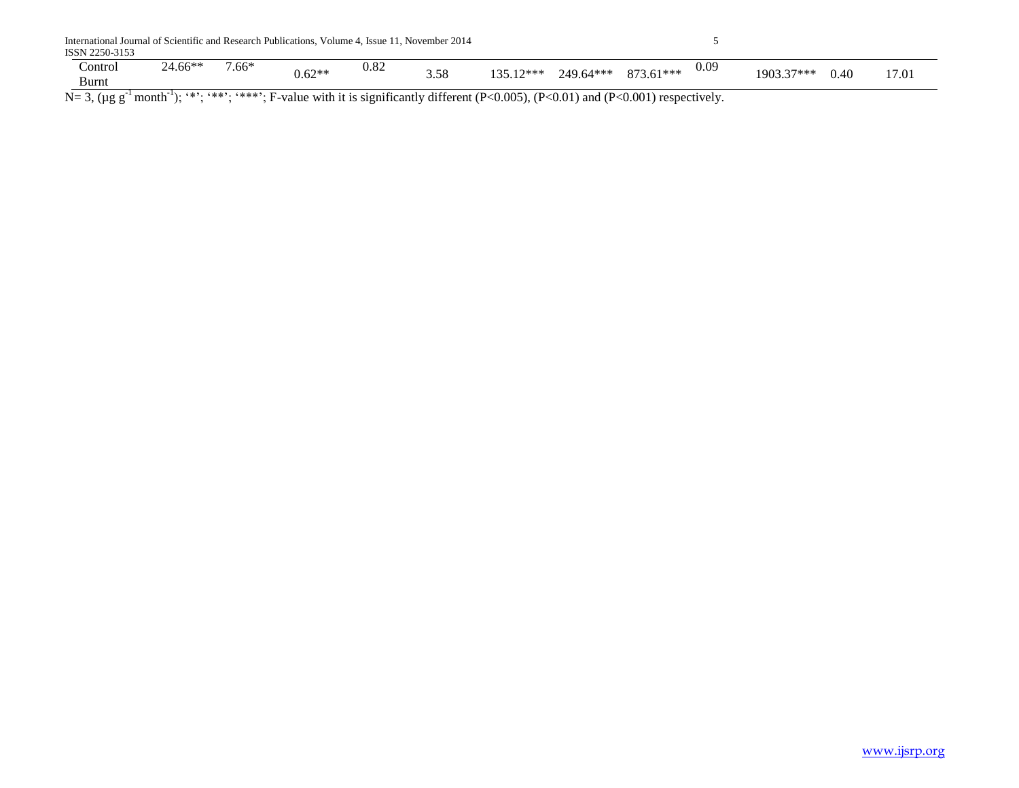|         |         | International Journal of Scientific and Research Publications, Volume 4, Issue 11, November 2014 |               |                                    |           |                                                        |            |       |
|---------|---------|--------------------------------------------------------------------------------------------------|---------------|------------------------------------|-----------|--------------------------------------------------------|------------|-------|
|         |         |                                                                                                  |               |                                    |           |                                                        |            |       |
| 24.66** | $7.66*$ |                                                                                                  | 0.82          | $13512$ ***                        |           | 0.09                                                   |            | 17.01 |
|         |         |                                                                                                  |               |                                    |           |                                                        |            |       |
|         | $-1$    | and the contraction of contraction of the                                                        | $0.62**$<br>. | 3.58<br>$\cdot$ $\sim$<br>$\cdots$ | 249.64*** | 873.61***<br>$\sim$ $\sim$ $\sim$ $\sim$ $\sim$ $\sim$ | 1903.37*** | 0.40  |

 $N= 3$ , (µg g<sup>-1</sup> month<sup>-1</sup>); '\*'; '\*\*'; '\*\*\*'; F-value with it is significantly different (P<0.005), (P<0.01) and (P<0.001) respectively.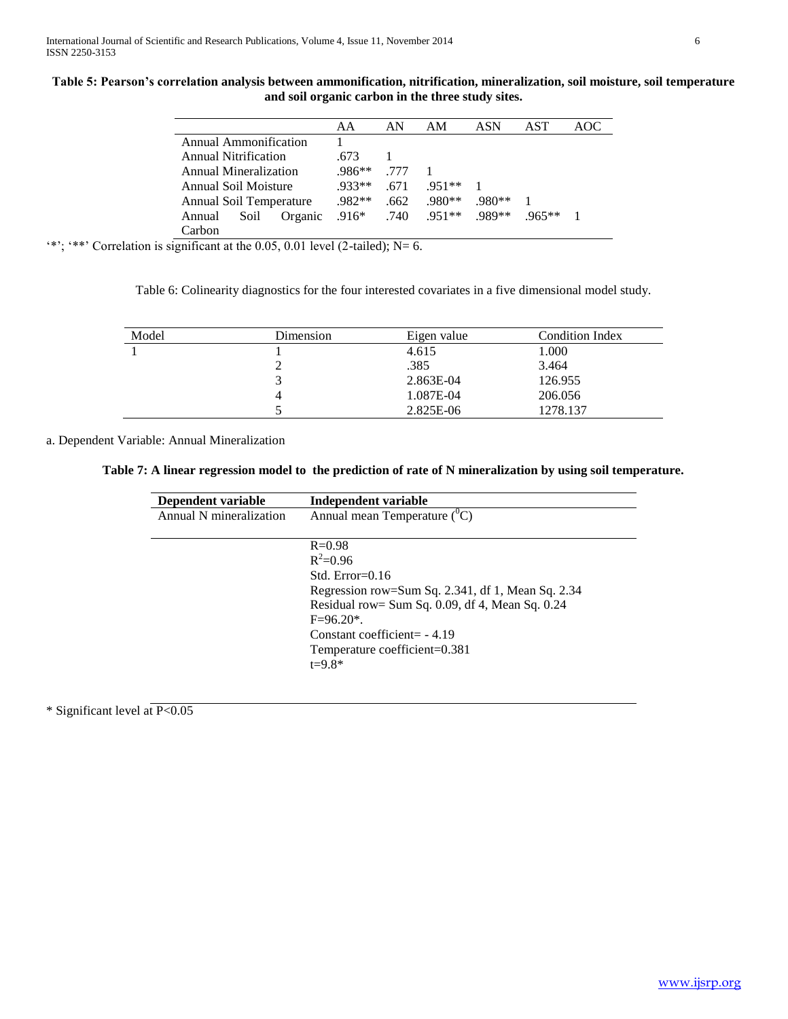| Table 5: Pearson's correlation analysis between ammonification, nitrification, mineralization, soil moisture, soil temperature |
|--------------------------------------------------------------------------------------------------------------------------------|
| and soil organic carbon in the three study sites.                                                                              |

|                           | AA       | AN   | AM       | ASN    | AST     | AOC. |
|---------------------------|----------|------|----------|--------|---------|------|
| Annual Ammonification     |          |      |          |        |         |      |
| Annual Nitrification      | .673     |      |          |        |         |      |
| Annual Mineralization     | $.986**$ | 777  |          |        |         |      |
| Annual Soil Moisture      | $.933**$ | .671 | 951**    |        |         |      |
| Annual Soil Temperature   | $.982**$ | .662 | $.980**$ | .980** |         |      |
| Organic<br>Soil<br>Annual | $.916*$  | .740 | $.951**$ | .989** | $965**$ |      |
| Carbon                    |          |      |          |        |         |      |

 $'$ \*'; '\*\*' Correlation is significant at the 0.05, 0.01 level (2-tailed); N= 6.

Table 6: Colinearity diagnostics for the four interested covariates in a five dimensional model study.

| Model | Dimension | Eigen value | Condition Index |
|-------|-----------|-------------|-----------------|
|       |           | 4.615       | 1.000           |
|       |           | .385        | 3.464           |
|       |           | 2.863E-04   | 126.955         |
|       |           | 1.087E-04   | 206.056         |
|       |           | 2.825E-06   | 1278.137        |

a. Dependent Variable: Annual Mineralization

**Table 7: A linear regression model to the prediction of rate of N mineralization by using soil temperature.**

| Independent variable                                 |
|------------------------------------------------------|
| Annual mean Temperature $({}^0C)$                    |
|                                                      |
| $R = 0.98$                                           |
| $R^2 = 0.96$                                         |
| Std. $Error=0.16$                                    |
| Regression row=Sum Sq. 2.341, df 1, Mean Sq. 2.34    |
| Residual row= Sum Sq. $0.09$ , df 4, Mean Sq. $0.24$ |
| $F=96.20*$ .                                         |
| Constant coefficient= $-4.19$                        |
| Temperature coefficient=0.381                        |
| $t = 9.8*$                                           |
|                                                      |

\* Significant level at P<0.05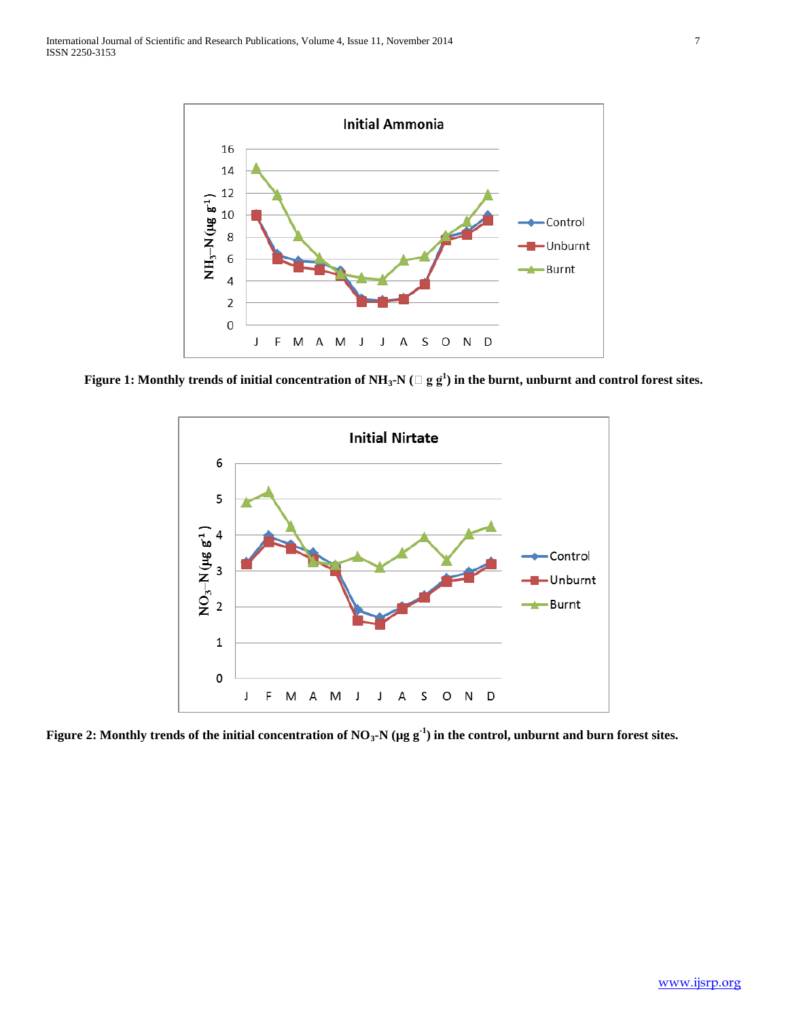

Figure 1: Monthly trends of initial concentration of NH<sub>3</sub>-N ( $\Box$  g g $^1$ ) in the burnt, unburnt and control forest sites.



**Figure 2: Monthly trends of the initial concentration of NO3-N (µg g-1 ) in the control, unburnt and burn forest sites.**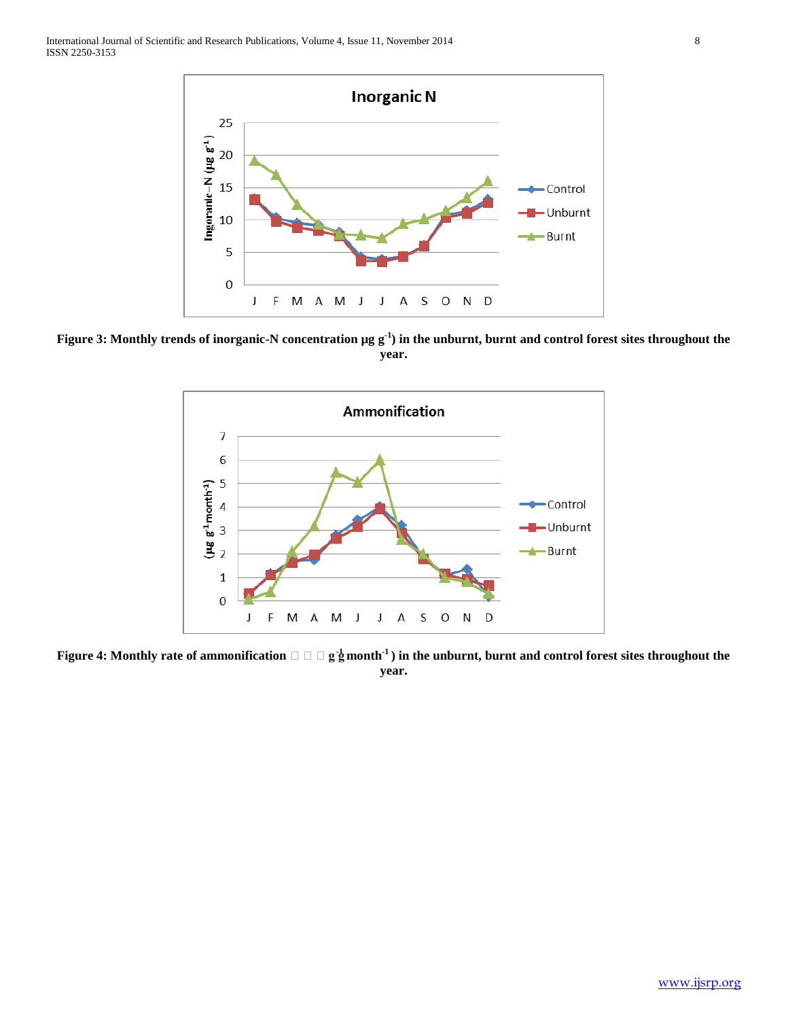

**Figure 3: Monthly trends of inorganic-N concentration µg g-1 ) in the unburnt, burnt and control forest sites throughout the year.**



**Figure 4: Monthly rate of ammonification**  $\Box$   $\Box$   $g \frac{1}{2}$  month<sup>-1</sup>) in the unburnt, burnt and control forest sites throughout the **year.**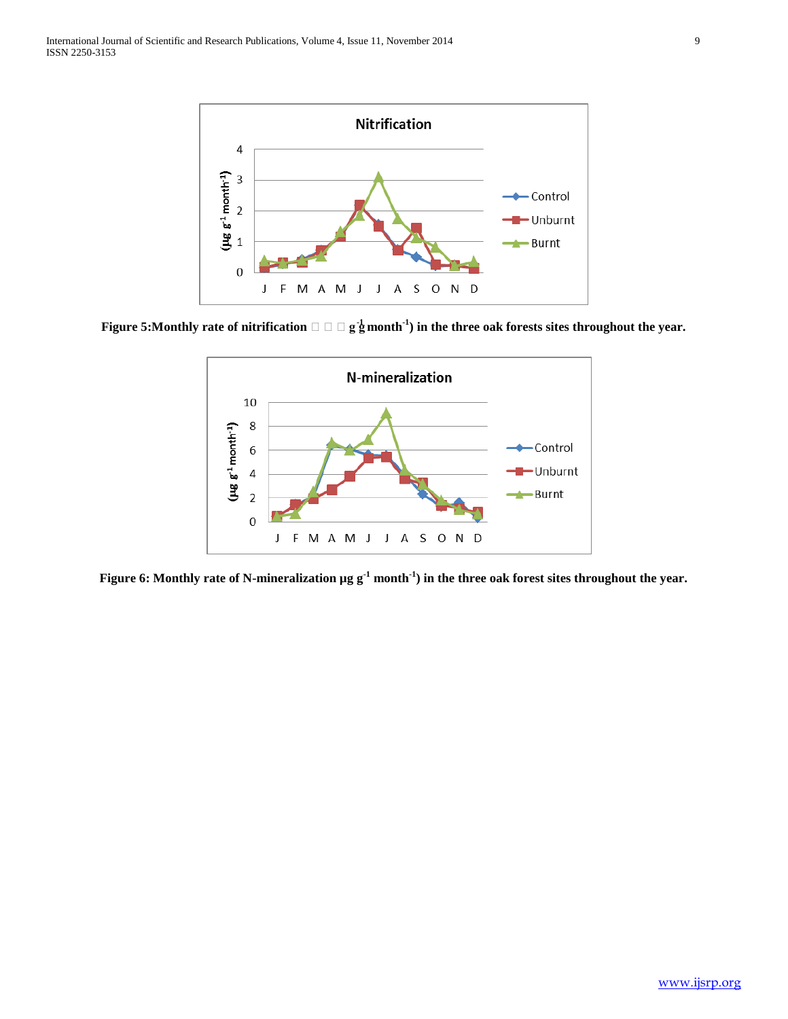

**Figure 5:**Monthly rate of nitrification  $\Box\Box\Box$  **g**  $_{2}^{1}$  month $^{1}$ ) in the three oak forests sites throughout the year.



**Figure 6: Monthly rate of N-mineralization µg g-1 month-1 ) in the three oak forest sites throughout the year.**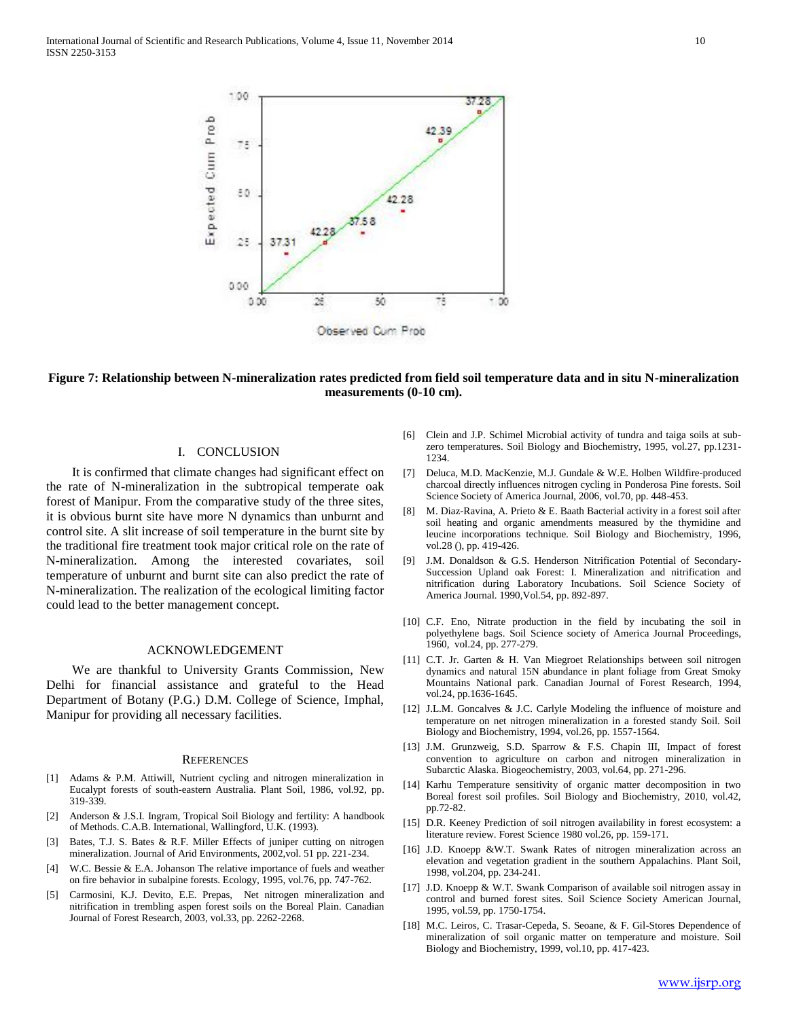

# **Figure 7: Relationship between N-mineralization rates predicted from field soil temperature data and in situ N-mineralization measurements (0-10 cm).**

# I. CONCLUSION

 It is confirmed that climate changes had significant effect on the rate of N-mineralization in the subtropical temperate oak forest of Manipur. From the comparative study of the three sites, it is obvious burnt site have more N dynamics than unburnt and control site. A slit increase of soil temperature in the burnt site by the traditional fire treatment took major critical role on the rate of N-mineralization. Among the interested covariates, soil temperature of unburnt and burnt site can also predict the rate of N-mineralization. The realization of the ecological limiting factor could lead to the better management concept.

## ACKNOWLEDGEMENT

 We are thankful to University Grants Commission, New Delhi for financial assistance and grateful to the Head Department of Botany (P.G.) D.M. College of Science, Imphal, Manipur for providing all necessary facilities.

#### **REFERENCES**

- [1] Adams & P.M. Attiwill, Nutrient cycling and nitrogen mineralization in Eucalypt forests of south-eastern Australia. Plant Soil, 1986, vol.92, pp. 319-339.
- [2] Anderson & J.S.I. Ingram, Tropical Soil Biology and fertility: A handbook of Methods. C.A.B. International, Wallingford, U.K. (1993).
- [3] Bates, T.J. S. Bates & R.F. Miller Effects of juniper cutting on nitrogen mineralization. Journal of Arid Environments, 2002,vol. 51 pp. 221-234.
- [4] W.C. Bessie & E.A. Johanson The relative importance of fuels and weather on fire behavior in subalpine forests. Ecology, 1995, vol.76, pp. 747-762.
- [5] Carmosini, K.J. Devito, E.E. Prepas, Net nitrogen mineralization and nitrification in trembling aspen forest soils on the Boreal Plain. Canadian Journal of Forest Research, 2003, vol.33, pp. 2262-2268.
- [6] Clein and J.P. Schimel Microbial activity of tundra and taiga soils at subzero temperatures. Soil Biology and Biochemistry, 1995, vol.27, pp.1231- 1234.
- [7] Deluca, M.D. MacKenzie, M.J. Gundale & W.E. Holben Wildfire-produced charcoal directly influences nitrogen cycling in Ponderosa Pine forests. Soil Science Society of America Journal, 2006, vol.70, pp. 448-453.
- [8] M. Diaz-Ravina, A. Prieto & E. Baath Bacterial activity in a forest soil after soil heating and organic amendments measured by the thymidine and leucine incorporations technique. Soil Biology and Biochemistry, 1996, vol.28 (), pp. 419-426.
- [9] J.M. Donaldson & G.S. Henderson Nitrification Potential of Secondary-Succession Upland oak Forest: I. Mineralization and nitrification and nitrification during Laboratory Incubations. Soil Science Society of America Journal. 1990,Vol.54, pp. 892-897.
- [10] C.F. Eno, Nitrate production in the field by incubating the soil in polyethylene bags. Soil Science society of America Journal Proceedings, 1960, vol.24, pp. 277-279.
- [11] C.T. Jr. Garten & H. Van Miegroet Relationships between soil nitrogen dynamics and natural 15N abundance in plant foliage from Great Smoky Mountains National park. Canadian Journal of Forest Research, 1994, vol.24, pp.1636-1645.
- [12] J.L.M. Goncalves & J.C. Carlyle Modeling the influence of moisture and temperature on net nitrogen mineralization in a forested standy Soil. Soil Biology and Biochemistry, 1994, vol.26, pp. 1557-1564.
- [13] J.M. Grunzweig, S.D. Sparrow & F.S. Chapin III, Impact of forest convention to agriculture on carbon and nitrogen mineralization in Subarctic Alaska. Biogeochemistry, 2003, vol.64, pp. 271-296.
- [14] Karhu Temperature sensitivity of organic matter decomposition in two Boreal forest soil profiles. Soil Biology and Biochemistry, 2010, vol.42, pp.72-82.
- [15] D.R. Keeney Prediction of soil nitrogen availability in forest ecosystem: a literature review. Forest Science 1980 vol.26, pp. 159-171.
- [16] J.D. Knoepp &W.T. Swank Rates of nitrogen mineralization across an elevation and vegetation gradient in the southern Appalachins. Plant Soil, 1998, vol.204, pp. 234-241.
- [17] J.D. Knoepp & W.T. Swank Comparison of available soil nitrogen assay in control and burned forest sites. Soil Science Society American Journal, 1995, vol.59, pp. 1750-1754.
- [18] M.C. Leiros, C. Trasar-Cepeda, S. Seoane, & F. Gil-Stores Dependence of mineralization of soil organic matter on temperature and moisture. Soil Biology and Biochemistry, 1999, vol.10, pp. 417-423.